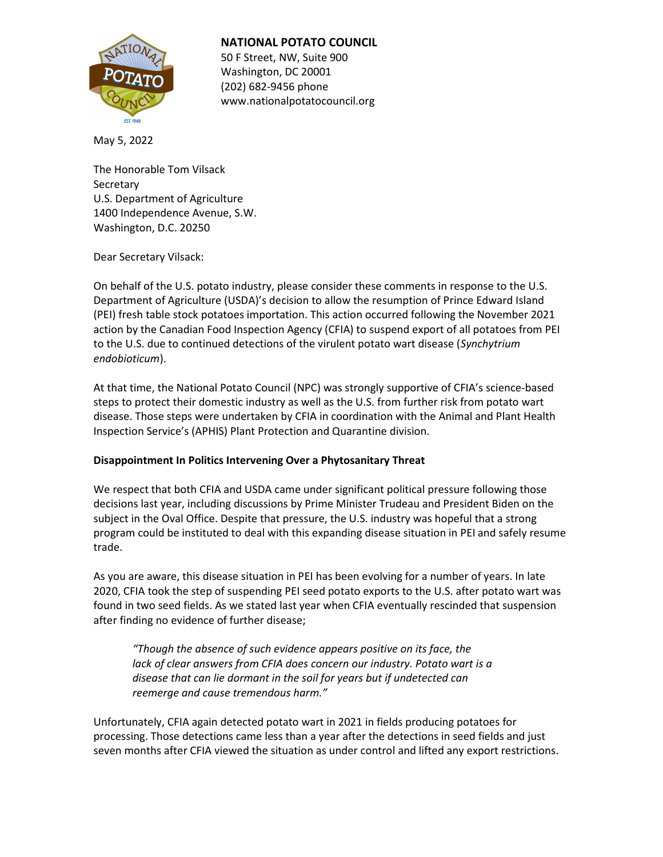

# NATIONAL POTATO COUNCIL

50 F Street, NW, Suite 900 Washington, DC 20001 (202) 682-9456 phone www.nationalpotatocouncil.org

May 5, 2022

The Honorable Tom Vilsack **Secretary** U.S. Department of Agriculture 1400 Independence Avenue, S.W. Washington, D.C. 20250

Dear Secretary Vilsack:

On behalf of the U.S. potato industry, please consider these comments in response to the U.S. Department of Agriculture (USDA)'s decision to allow the resumption of Prince Edward Island (PEI) fresh table stock potatoes importation. This action occurred following the November 2021 action by the Canadian Food Inspection Agency (CFIA) to suspend export of all potatoes from PEI to the U.S. due to continued detections of the virulent potato wart disease (Synchytrium endobioticum).

At that time, the National Potato Council (NPC) was strongly supportive of CFIA's science-based steps to protect their domestic industry as well as the U.S. from further risk from potato wart disease. Those steps were undertaken by CFIA in coordination with the Animal and Plant Health Inspection Service's (APHIS) Plant Protection and Quarantine division.

# Disappointment In Politics Intervening Over a Phytosanitary Threat

We respect that both CFIA and USDA came under significant political pressure following those decisions last year, including discussions by Prime Minister Trudeau and President Biden on the subject in the Oval Office. Despite that pressure, the U.S. industry was hopeful that a strong program could be instituted to deal with this expanding disease situation in PEI and safely resume trade.

As you are aware, this disease situation in PEI has been evolving for a number of years. In late 2020, CFIA took the step of suspending PEI seed potato exports to the U.S. after potato wart was found in two seed fields. As we stated last year when CFIA eventually rescinded that suspension after finding no evidence of further disease;

"Though the absence of such evidence appears positive on its face, the lack of clear answers from CFIA does concern our industry. Potato wart is a disease that can lie dormant in the soil for years but if undetected can reemerge and cause tremendous harm."

Unfortunately, CFIA again detected potato wart in 2021 in fields producing potatoes for processing. Those detections came less than a year after the detections in seed fields and just seven months after CFIA viewed the situation as under control and lifted any export restrictions.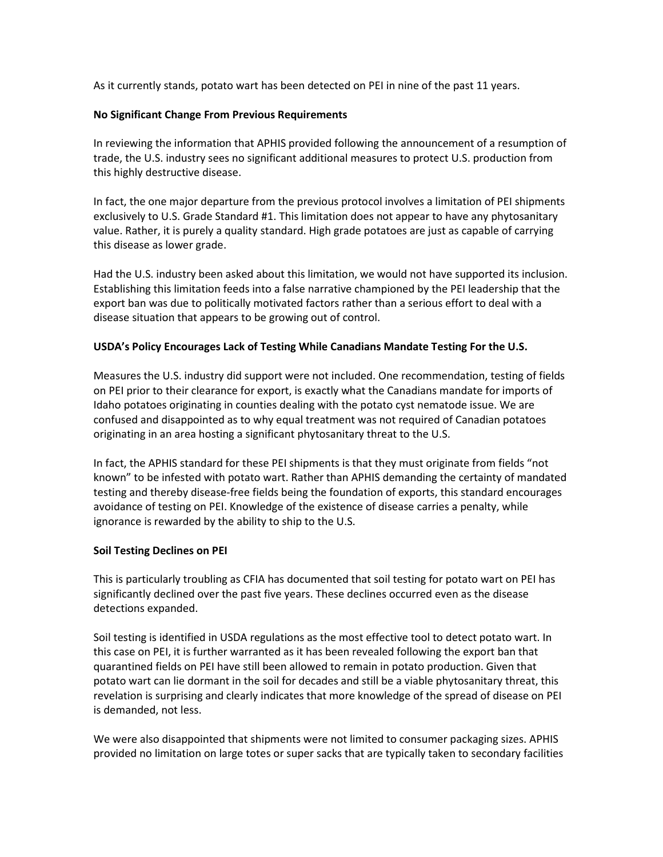As it currently stands, potato wart has been detected on PEI in nine of the past 11 years.

#### No Significant Change From Previous Requirements

In reviewing the information that APHIS provided following the announcement of a resumption of trade, the U.S. industry sees no significant additional measures to protect U.S. production from this highly destructive disease.

In fact, the one major departure from the previous protocol involves a limitation of PEI shipments exclusively to U.S. Grade Standard #1. This limitation does not appear to have any phytosanitary value. Rather, it is purely a quality standard. High grade potatoes are just as capable of carrying this disease as lower grade.

Had the U.S. industry been asked about this limitation, we would not have supported its inclusion. Establishing this limitation feeds into a false narrative championed by the PEI leadership that the export ban was due to politically motivated factors rather than a serious effort to deal with a disease situation that appears to be growing out of control.

## USDA's Policy Encourages Lack of Testing While Canadians Mandate Testing For the U.S.

Measures the U.S. industry did support were not included. One recommendation, testing of fields on PEI prior to their clearance for export, is exactly what the Canadians mandate for imports of Idaho potatoes originating in counties dealing with the potato cyst nematode issue. We are confused and disappointed as to why equal treatment was not required of Canadian potatoes originating in an area hosting a significant phytosanitary threat to the U.S.

In fact, the APHIS standard for these PEI shipments is that they must originate from fields "not known" to be infested with potato wart. Rather than APHIS demanding the certainty of mandated testing and thereby disease-free fields being the foundation of exports, this standard encourages avoidance of testing on PEI. Knowledge of the existence of disease carries a penalty, while ignorance is rewarded by the ability to ship to the U.S.

## Soil Testing Declines on PEI

This is particularly troubling as CFIA has documented that soil testing for potato wart on PEI has significantly declined over the past five years. These declines occurred even as the disease detections expanded.

Soil testing is identified in USDA regulations as the most effective tool to detect potato wart. In this case on PEI, it is further warranted as it has been revealed following the export ban that quarantined fields on PEI have still been allowed to remain in potato production. Given that potato wart can lie dormant in the soil for decades and still be a viable phytosanitary threat, this revelation is surprising and clearly indicates that more knowledge of the spread of disease on PEI is demanded, not less.

We were also disappointed that shipments were not limited to consumer packaging sizes. APHIS provided no limitation on large totes or super sacks that are typically taken to secondary facilities